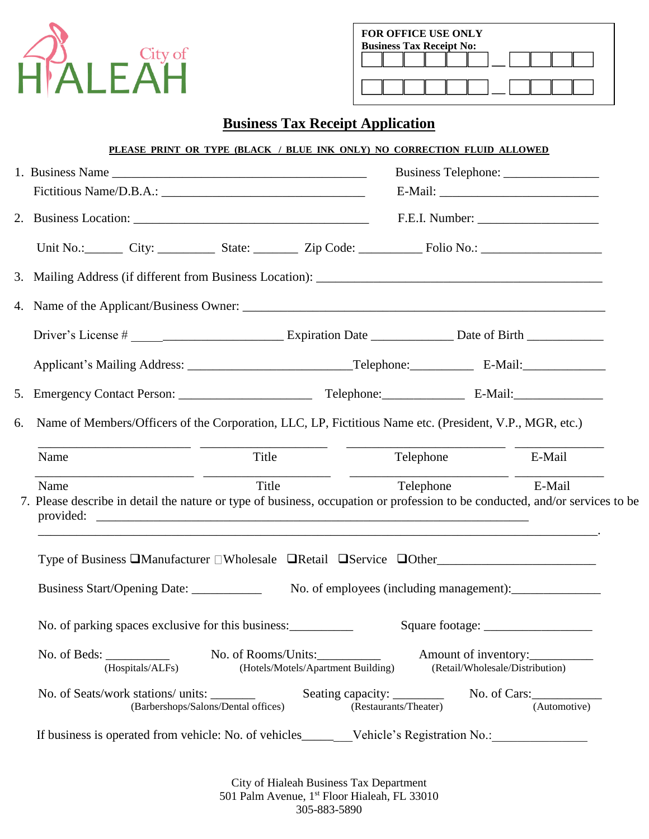

| FOR OFFICE USE ONLY<br><b>Business Tax Receipt No:</b> |  |  |  |  |  |
|--------------------------------------------------------|--|--|--|--|--|
|                                                        |  |  |  |  |  |
|                                                        |  |  |  |  |  |

## **Business Tax Receipt Application**

|    |                                                                                                                                                                                                                                                                       | PLEASE PRINT OR TYPE (BLACK / BLUE INK ONLY) NO CORRECTION FLUID ALLOWED |                                                         |              |  |  |
|----|-----------------------------------------------------------------------------------------------------------------------------------------------------------------------------------------------------------------------------------------------------------------------|--------------------------------------------------------------------------|---------------------------------------------------------|--------------|--|--|
|    |                                                                                                                                                                                                                                                                       |                                                                          |                                                         |              |  |  |
|    |                                                                                                                                                                                                                                                                       |                                                                          |                                                         |              |  |  |
|    |                                                                                                                                                                                                                                                                       |                                                                          |                                                         |              |  |  |
|    | Unit No.: City: City: State: Xip Code: City Collection Contains City: City: City: City: City: City: City: City                                                                                                                                                        |                                                                          |                                                         |              |  |  |
|    |                                                                                                                                                                                                                                                                       |                                                                          |                                                         |              |  |  |
|    |                                                                                                                                                                                                                                                                       |                                                                          |                                                         |              |  |  |
|    |                                                                                                                                                                                                                                                                       |                                                                          |                                                         |              |  |  |
|    |                                                                                                                                                                                                                                                                       |                                                                          |                                                         |              |  |  |
|    |                                                                                                                                                                                                                                                                       |                                                                          |                                                         |              |  |  |
| 6. | Name of Members/Officers of the Corporation, LLC, LP, Fictitious Name etc. (President, V.P., MGR, etc.)                                                                                                                                                               |                                                                          |                                                         |              |  |  |
|    | Title<br>Name                                                                                                                                                                                                                                                         |                                                                          | Telephone<br>E-Mail                                     |              |  |  |
|    | <u> Alexandria de la contrada de la contrada de la contrada de la contrada de la contrada de la contrada de la c</u><br>Title<br>Name<br>7. Please describe in detail the nature or type of business, occupation or profession to be conducted, and/or services to be |                                                                          | Telephone                                               | E-Mail       |  |  |
|    | Type of Business □Manufacturer □Wholesale □Retail □Service □Other                                                                                                                                                                                                     |                                                                          |                                                         |              |  |  |
|    | Business Start/Opening Date: _____________                                                                                                                                                                                                                            |                                                                          |                                                         |              |  |  |
|    |                                                                                                                                                                                                                                                                       |                                                                          |                                                         |              |  |  |
|    | No. of parking spaces exclusive for this business:                                                                                                                                                                                                                    |                                                                          |                                                         |              |  |  |
|    | No. of Beds: $\_\_$<br>(Hospitals/ALFs)                                                                                                                                                                                                                               | No. of Rooms/Units:<br>(Hotels/Motels/Apartment Building)                | Amount of inventory:<br>(Retail/Wholesale/Distribution) |              |  |  |
|    | No. of Seats/work stations/ units:<br>(Barbershops/Salons/Dental offices)                                                                                                                                                                                             | Seating capacity: _________<br>(Restaurants/Theater)                     | No. of $Cars:$                                          | (Automotive) |  |  |